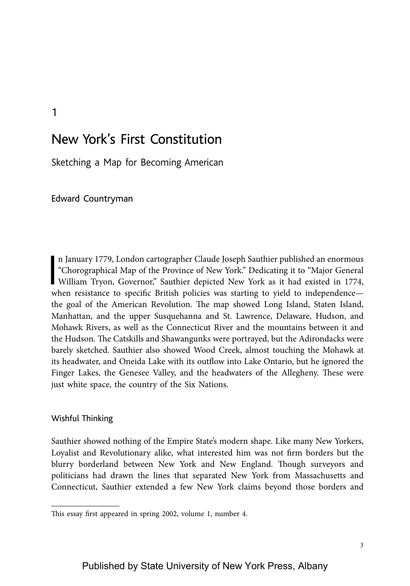# New York's First Constitution

Sketching a Map for Becoming American

Edward Countryman

1

 $\frac{1}{2}$ n January 1779, London cartographer Claude Joseph Sauthier published an enormous "Chorographical Map of the Province of New York." Dedicating it to "Major General William Tryon, Governor," Sauthier depicted New York as it had existed in 1774, when resistance to specific British policies was starting to yield to independence the goal of the American Revolution. The map showed Long Island, Staten Island, Manhattan, and the upper Susquehanna and St. Lawrence, Delaware, Hudson, and Mohawk Rivers, as well as the Connecticut River and the mountains between it and the Hudson. The Catskills and Shawangunks were portrayed, but the Adirondacks were barely sketched. Sauthier also showed Wood Creek, almost touching the Mohawk at its headwater, and Oneida Lake with its outflow into Lake Ontario, but he ignored the Finger Lakes, the Genesee Valley, and the headwaters of the Allegheny. These were just white space, the country of the Six Nations.

### Wishful Thinking

Sauthier showed nothing of the Empire State's modern shape. Like many New Yorkers, Loyalist and Revolutionary alike, what interested him was not firm borders but the blurry borderland between New York and New England. Though surveyors and politicians had drawn the lines that separated New York from Massachusetts and Connecticut, Sauthier extended a few New York claims beyond those borders and

Published by State University of New York Press, Albany

This essay first appeared in spring 2002, volume 1, number 4.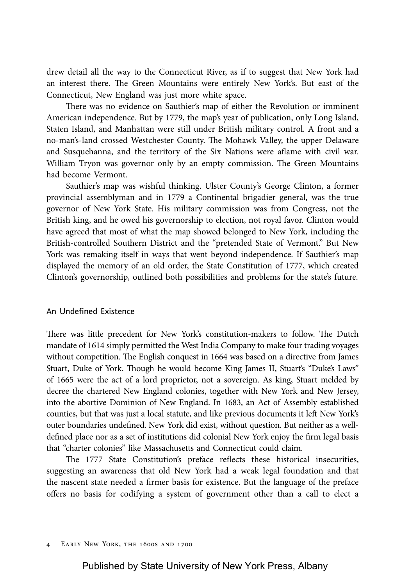drew detail all the way to the Connecticut River, as if to suggest that New York had an interest there. The Green Mountains were entirely New York's. But east of the Connecticut, New England was just more white space.

There was no evidence on Sauthier's map of either the Revolution or imminent American independence. But by 1779, the map's year of publication, only Long Island, Staten Island, and Manhattan were still under British military control. A front and a no-man's-land crossed Westchester County. The Mohawk Valley, the upper Delaware and Susquehanna, and the territory of the Six Nations were aflame with civil war. William Tryon was governor only by an empty commission. The Green Mountains had become Vermont.

Sauthier's map was wishful thinking. Ulster County's George Clinton, a former provincial assemblyman and in 1779 a Continental brigadier general, was the true governor of New York State. His military commission was from Congress, not the British king, and he owed his governorship to election, not royal favor. Clinton would have agreed that most of what the map showed belonged to New York, including the British-controlled Southern District and the "pretended State of Vermont." But New York was remaking itself in ways that went beyond independence. If Sauthier's map displayed the memory of an old order, the State Constitution of 1777, which created Clinton's governorship, outlined both possibilities and problems for the state's future.

### An Undefined Existence

There was little precedent for New York's constitution-makers to follow. The Dutch mandate of 1614 simply permitted the West India Company to make four trading voyages without competition. The English conquest in 1664 was based on a directive from James Stuart, Duke of York. Though he would become King James II, Stuart's "Duke's Laws" of 1665 were the act of a lord proprietor, not a sovereign. As king, Stuart melded by decree the chartered New England colonies, together with New York and New Jersey, into the abortive Dominion of New England. In 1683, an Act of Assembly established counties, but that was just a local statute, and like previous documents it left New York's outer boundaries undefined. New York did exist, without question. But neither as a welldefined place nor as a set of institutions did colonial New York enjoy the firm legal basis that "charter colonies" like Massachusetts and Connecticut could claim.

The 1777 State Constitution's preface reflects these historical insecurities, suggesting an awareness that old New York had a weak legal foundation and that the nascent state needed a firmer basis for existence. But the language of the preface offers no basis for codifying a system of government other than a call to elect a

4 Early New York, the 1600s and 1700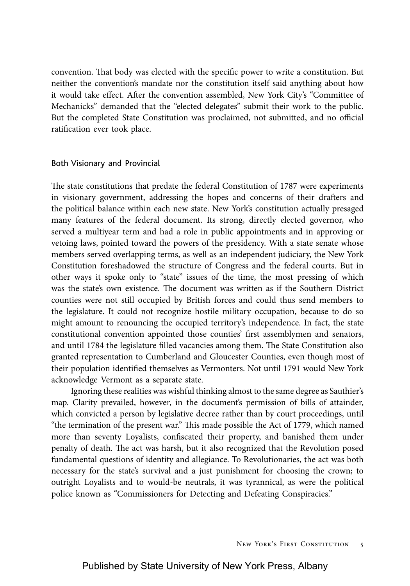convention. That body was elected with the specific power to write a constitution. But neither the convention's mandate nor the constitution itself said anything about how it would take effect. After the convention assembled, New York City's "Committee of Mechanicks" demanded that the "elected delegates" submit their work to the public. But the completed State Constitution was proclaimed, not submitted, and no official ratification ever took place.

## Both Visionary and Provincial

The state constitutions that predate the federal Constitution of 1787 were experiments in visionary government, addressing the hopes and concerns of their drafters and the political balance within each new state. New York's constitution actually presaged many features of the federal document. Its strong, directly elected governor, who served a multiyear term and had a role in public appointments and in approving or vetoing laws, pointed toward the powers of the presidency. With a state senate whose members served overlapping terms, as well as an independent judiciary, the New York Constitution foreshadowed the structure of Congress and the federal courts. But in other ways it spoke only to "state" issues of the time, the most pressing of which was the state's own existence. The document was written as if the Southern District counties were not still occupied by British forces and could thus send members to the legislature. It could not recognize hostile military occupation, because to do so might amount to renouncing the occupied territory's independence. In fact, the state constitutional convention appointed those counties' first assemblymen and senators, and until 1784 the legislature filled vacancies among them. The State Constitution also granted representation to Cumberland and Gloucester Counties, even though most of their population identified themselves as Vermonters. Not until 1791 would New York acknowledge Vermont as a separate state.

Ignoring these realities was wishful thinking almost to the same degree as Sauthier's map. Clarity prevailed, however, in the document's permission of bills of attainder, which convicted a person by legislative decree rather than by court proceedings, until "the termination of the present war." This made possible the Act of 1779, which named more than seventy Loyalists, confiscated their property, and banished them under penalty of death. The act was harsh, but it also recognized that the Revolution posed fundamental questions of identity and allegiance. To Revolutionaries, the act was both necessary for the state's survival and a just punishment for choosing the crown; to outright Loyalists and to would-be neutrals, it was tyrannical, as were the political police known as "Commissioners for Detecting and Defeating Conspiracies."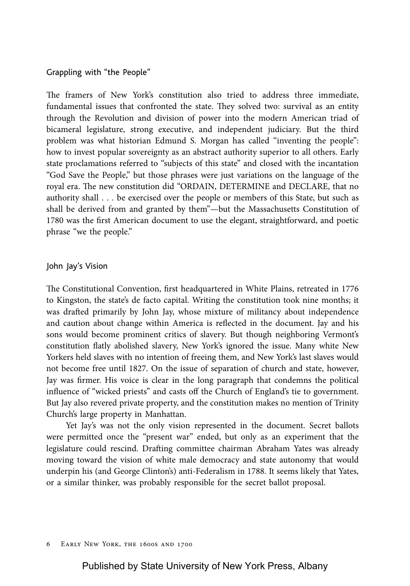# Grappling with "the People"

The framers of New York's constitution also tried to address three immediate, fundamental issues that confronted the state. They solved two: survival as an entity through the Revolution and division of power into the modern American triad of bicameral legislature, strong executive, and independent judiciary. But the third problem was what historian Edmund S. Morgan has called "inventing the people": how to invest popular sovereignty as an abstract authority superior to all others. Early state proclamations referred to "subjects of this state" and closed with the incantation "God Save the People," but those phrases were just variations on the language of the royal era. The new constitution did "ORDAIN, DETERMINE and DECLARE, that no authority shall . . . be exercised over the people or members of this State, but such as shall be derived from and granted by them"—but the Massachusetts Constitution of 1780 was the first American document to use the elegant, straightforward, and poetic phrase "we the people."

### John Jay's Vision

The Constitutional Convention, first headquartered in White Plains, retreated in 1776 to Kingston, the state's de facto capital. Writing the constitution took nine months; it was drafted primarily by John Jay, whose mixture of militancy about independence and caution about change within America is reflected in the document. Jay and his sons would become prominent critics of slavery. But though neighboring Vermont's constitution flatly abolished slavery, New York's ignored the issue. Many white New Yorkers held slaves with no intention of freeing them, and New York's last slaves would not become free until 1827. On the issue of separation of church and state, however, Jay was firmer. His voice is clear in the long paragraph that condemns the political influence of "wicked priests" and casts off the Church of England's tie to government. But Jay also revered private property, and the constitution makes no mention of Trinity Church's large property in Manhattan.

Yet Jay's was not the only vision represented in the document. Secret ballots were permitted once the "present war" ended, but only as an experiment that the legislature could rescind. Drafting committee chairman Abraham Yates was already moving toward the vision of white male democracy and state autonomy that would underpin his (and George Clinton's) anti-Federalism in 1788. It seems likely that Yates, or a similar thinker, was probably responsible for the secret ballot proposal.

#### 6 Early New York, the 1600s and 1700